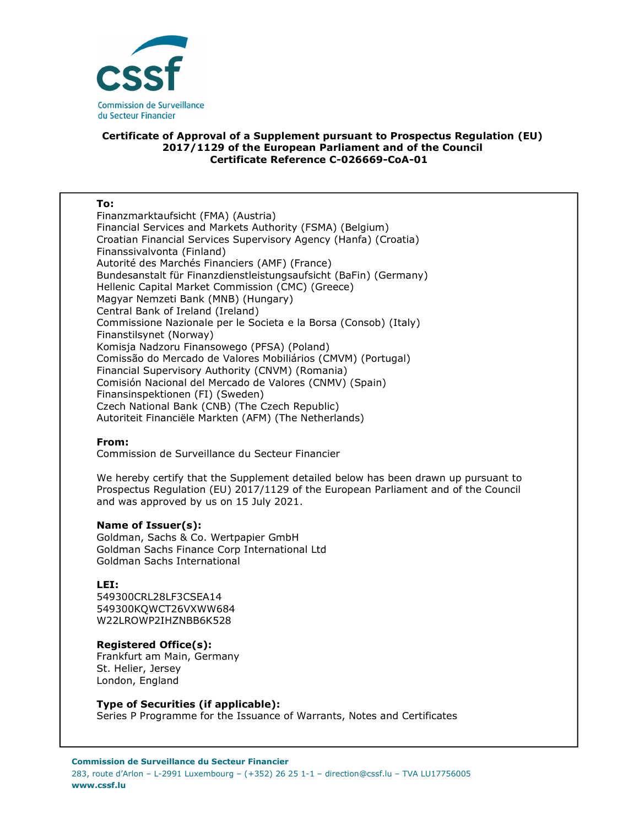

## **Certificate of Approval of a Supplement pursuant to Prospectus Regulation (EU) 2017/1129 of the European Parliament and of the Council Certificate Reference C-026669-CoA-01**

#### **To:**

Finanzmarktaufsicht (FMA) (Austria) Financial Services and Markets Authority (FSMA) (Belgium) Croatian Financial Services Supervisory Agency (Hanfa) (Croatia) Finanssivalvonta (Finland) Autorité des Marchés Financiers (AMF) (France) Bundesanstalt für Finanzdienstleistungsaufsicht (BaFin) (Germany) Hellenic Capital Market Commission (CMC) (Greece) Magyar Nemzeti Bank (MNB) (Hungary) Central Bank of Ireland (Ireland) Commissione Nazionale per le Societa e la Borsa (Consob) (Italy) Finanstilsynet (Norway) Komisja Nadzoru Finansowego (PFSA) (Poland) Comissão do Mercado de Valores Mobiliários (CMVM) (Portugal) Financial Supervisory Authority (CNVM) (Romania) Comisión Nacional del Mercado de Valores (CNMV) (Spain) Finansinspektionen (FI) (Sweden) Czech National Bank (CNB) (The Czech Republic) Autoriteit Financiële Markten (AFM) (The Netherlands)

## **From:**

Commission de Surveillance du Secteur Financier

We hereby certify that the Supplement detailed below has been drawn up pursuant to Prospectus Regulation (EU) 2017/1129 of the European Parliament and of the Council and was approved by us on 15 July 2021.

## **Name of Issuer(s):**

Goldman, Sachs & Co. Wertpapier GmbH Goldman Sachs Finance Corp International Ltd Goldman Sachs International

## **LEI:**

549300CRL28LF3CSEA14 549300KQWCT26VXWW684 W22LROWP2IHZNBB6K528

# **Registered Office(s):**

Frankfurt am Main, Germany St. Helier, Jersey London, England

## **Type of Securities (if applicable):**

Series P Programme for the Issuance of Warrants, Notes and Certificates